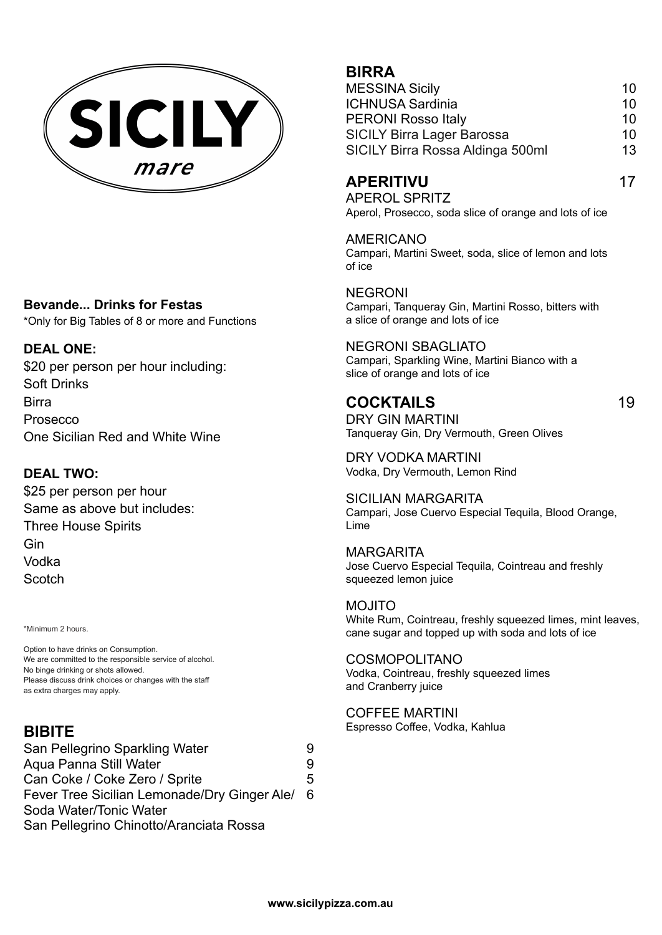

### **Bevande... Drinks for Festas**

\*Only for Big Tables of 8 or more and Functions

### **DEAL ONE:**

\$20 per person per hour including: Soft Drinks Birra Prosecco One Sicilian Red and White Wine

## **DEAL TWO:**

\$25 per person per hour Same as above but includes: Three House Spirits Gin Vodka **Scotch** 

\*Minimum 2 hours.

Option to have drinks on Consumption. We are committed to the responsible service of alcohol. No binge drinking or shots allowed. Please discuss drink choices or changes with the staff as extra charges may apply.

# **BIBITE**

San Pellegrino Sparkling Water 9 Aqua Panna Still Water **9** Can Coke / Coke Zero / Sprite 5 Fever Tree Sicilian Lemonade/Dry Ginger Ale/ 6 Soda Water/Tonic Water San Pellegrino Chinotto/Aranciata Rossa

# **BIRRA**

| <b>MESSINA Sicily</b>             | 10 |
|-----------------------------------|----|
| <b>ICHNUSA Sardinia</b>           | 10 |
| <b>PERONI Rosso Italy</b>         | 10 |
| <b>SICILY Birra Lager Barossa</b> | 10 |
| SICILY Birra Rossa Aldinga 500ml  | 13 |

# **APERITIVU** 17

APEROL SPRITZ Aperol, Prosecco, soda slice of orange and lots of ice

AMERICANO Campari, Martini Sweet, soda, slice of lemon and lots of ice

NEGRONI Campari, Tanqueray Gin, Martini Rosso, bitters with a slice of orange and lots of ice

NEGRONI SBAGLIATO Campari, Sparkling Wine, Martini Bianco with a slice of orange and lots of ice

## **COCKTAILS** 19

DRY GIN MARTINI Tanqueray Gin, Dry Vermouth, Green Olives

DRY VODKA MARTINI Vodka, Dry Vermouth, Lemon Rind

SICILIAN MARGARITA Campari, Jose Cuervo Especial Tequila, Blood Orange, Lime

**MARGARITA** Jose Cuervo Especial Tequila, Cointreau and freshly squeezed lemon juice

MOJITO White Rum, Cointreau, freshly squeezed limes, mint leaves, cane sugar and topped up with soda and lots of ice

COSMOPOLITANO Vodka, Cointreau, freshly squeezed limes and Cranberry juice

COFFEE MARTINI Espresso Coffee, Vodka, Kahlua